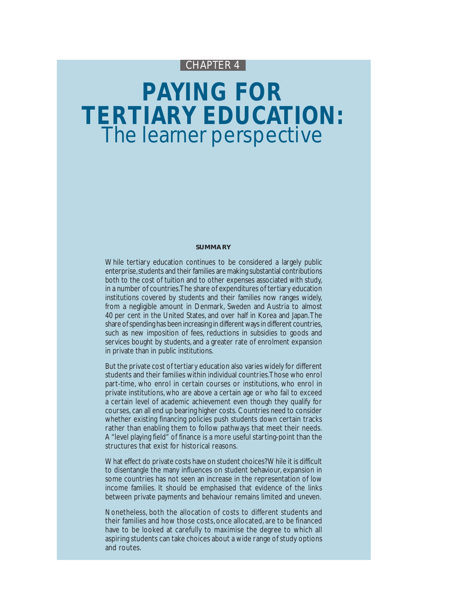## CHAPTER 4

# **PAYING FOR TERTIARY EDUCATION:** The learner perspective

#### **SUMMARY**

While tertiary education continues to be considered a largely public enterprise, students and their families are making substantial contributions both to the cost of tuition and to other expenses associated with study, in a number of countries. The share of expenditures of tertiary education institutions covered by students and their families now ranges widely, from a negligible amount in Denmark, Sweden and Austria to almost 40 per cent in the United States, and over half in Korea and Japan. The share of spending has been increasing in different ways in different countries, such as new imposition of fees, reductions in subsidies to goods and services bought by students, and a greater rate of enrolment expansion in private than in public institutions.

But the private cost of tertiary education also varies widely for different students and their families within individual countries. Those who enrol part-time, who enrol in certain courses or institutions, who enrol in private institutions, who are above a certain age or who fail to exceed a certain level of academic achievement even though they qualify for courses, can all end up bearing higher costs. Countries need to consider whether existing financing policies push students down certain tracks rather than enabling them to follow pathways that meet their needs. A "level playing field" of finance is a more useful starting-point than the structures that exist for historical reasons.

What effect do private costs have on student choices? While it is difficult to disentangle the many influences on student behaviour, expansion in some countries has not seen an increase in the representation of low income families. It should be emphasised that evidence of the links between private payments and behaviour remains limited and uneven.

Nonetheless, both the allocation of costs to different students and their families and how those costs, once allocated, are to be financed have to be looked at carefully to maximise the degree to which all aspiring students can take choices about a wide range of study options and routes.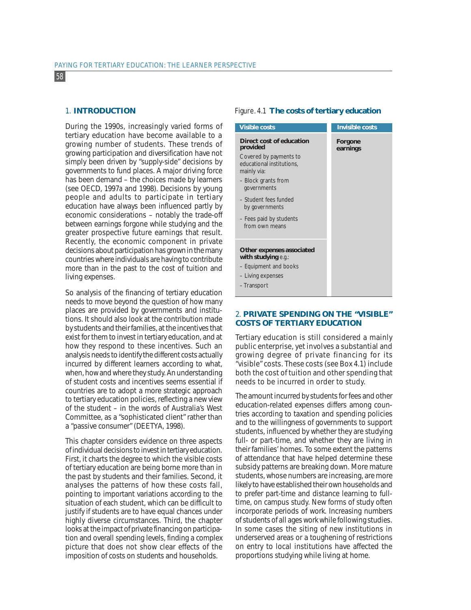#### 1. **INTRODUCTION**

58

During the 1990s, increasingly varied forms of tertiary education have become available to a growing number of students. These trends of growing participation and diversification have not simply been driven by "supply-side" decisions by governments to fund places. A major driving force has been demand – the choices made by learners (see OECD, 1997*a* and 1998). Decisions by young people and adults to participate in tertiary education have always been influenced partly by economic considerations – notably the trade-off between earnings forgone while studying and the greater prospective future earnings that result. Recently, the economic component in private decisions about participation has grown in the many countries where individuals are having to contribute more than in the past to the cost of tuition and living expenses.

So analysis of the financing of tertiary education needs to move beyond the question of how many places are provided by governments and institutions. It should also look at the contribution made by students and their families, at the incentives that exist for them to invest in tertiary education, and at how they respond to these incentives. Such an analysis needs to identify the different costs actually incurred by different learners according to what, when, how and where they study. An understanding of student costs and incentives seems essential if countries are to adopt a more strategic approach to tertiary education policies, reflecting a new view of the student – in the words of Australia's West Committee, as a "sophisticated client" rather than a "passive consumer" (DEETYA, 1998).

This chapter considers evidence on three aspects of individual decisions to invest in tertiary education. First, it charts the degree to which the visible costs of tertiary education are being borne more than in the past by students and their families. Second, it analyses the patterns of how these costs fall, pointing to important variations according to the situation of each student, which can be difficult to justify if students are to have equal chances under highly diverse circumstances. Third, the chapter looks at the impact of private financing on participation and overall spending levels, finding a complex picture that does not show clear effects of the imposition of costs on students and households.

#### Figure. 4.1 **The costs of tertiary education**

| <b>Visible costs</b>                                                                                                                                                                                                                     | <b>Invisible costs</b> |
|------------------------------------------------------------------------------------------------------------------------------------------------------------------------------------------------------------------------------------------|------------------------|
| Direct cost of education<br>provided<br>Covered by payments to<br>educational institutions,<br>mainly via:<br>- Block grants from<br>governments<br>- Student fees funded<br>by governments<br>- Fees paid by students<br>from own means | Forgone<br>earnings    |
| Other expenses associated<br>with studying $e.g.$<br>- Equipment and books<br>- Living expenses<br>– Transport                                                                                                                           |                        |

## 2. **PRIVATE SPENDING ON THE "VISIBLE" COSTS OF TERTIARY EDUCATION**

Tertiary education is still considered a mainly public enterprise, yet involves a substantial and growing degree of private financing for its "visible" costs. These costs (see Box 4.1) include both the cost of tuition and other spending that needs to be incurred in order to study.

The amount incurred by students for fees and other education-related expenses differs among countries according to taxation and spending policies and to the willingness of governments to support students, influenced by whether they are studying full- or part-time, and whether they are living in their families' homes. To some extent the patterns of attendance that have helped determine these subsidy patterns are breaking down. More mature students, whose numbers are increasing, are more likely to have established their own households and to prefer part-time and distance learning to fulltime, on campus study. New forms of study often incorporate periods of work. Increasing numbers of students of all ages work while following studies. In some cases the siting of new institutions in underserved areas or a toughening of restrictions on entry to local institutions have affected the proportions studying while living at home.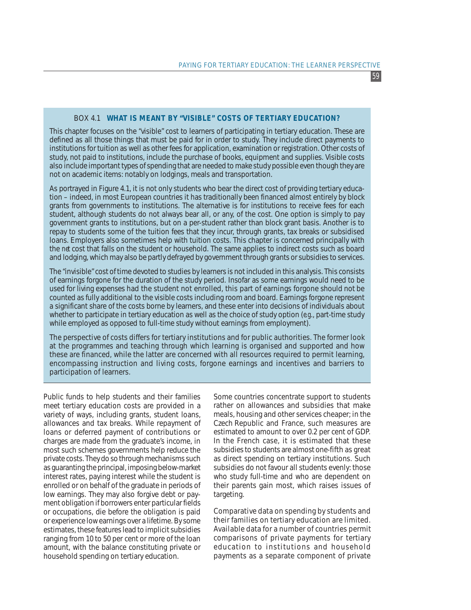## BOX 4.1 **WHAT IS MEANT BY "VISIBLE" COSTS OF TERTIARY EDUCATION?**

This chapter focuses on the "visible" cost to learners of participating in tertiary education. These are defined as all those things that must be paid for in order to study. They include direct payments to institutions for tuition as well as other fees for application, examination or registration. Other costs of study, not paid to institutions, include the purchase of books, equipment and supplies. Visible costs also include important types of spending that are needed to make study possible even though they are not on academic items: notably on lodgings, meals and transportation.

As portrayed in Figure 4.1, it is not only students who bear the direct cost of providing tertiary education – indeed, in most European countries it has traditionally been financed almost entirely by block grants from governments to institutions. The alternative is for institutions to receive fees for each student, although students do not always bear all, or any, of the cost. One option is simply to pay government grants to institutions, but on a per-student rather than block grant basis. Another is to repay to students some of the tuition fees that they incur, through grants, tax breaks or subsidised loans. Employers also sometimes help with tuition costs. This chapter is concerned principally with the *net* cost that falls on the student or household. The same applies to indirect costs such as board and lodging, which may also be partly defrayed by government through grants or subsidies to services.

The "invisible" cost of time devoted to studies by learners is not included in this analysis. This consists of earnings forgone for the duration of the study period. Insofar as some earnings would need to be used for living expenses had the student not enrolled, this part of earnings forgone should not be counted as fully additional to the visible costs including room and board. Earnings forgone represent a significant share of the costs borne by learners, and these enter into decisions of individuals about whether to participate in tertiary education as well as the choice of study option (*e.g*., part-time study while employed as opposed to full-time study without earnings from employment).

The perspective of costs differs for tertiary institutions and for public authorities. The former look at the programmes and teaching through which learning is organised and supported and how these are financed, while the latter are concerned with all resources required to permit learning, encompassing instruction and living costs, forgone earnings and incentives and barriers to participation of learners.

Public funds to help students and their families meet tertiary education costs are provided in a variety of ways, including grants, student loans, allowances and tax breaks. While repayment of loans or deferred payment of contributions or charges are made from the graduate's income, in most such schemes governments help reduce the private costs. They do so through mechanisms such as guaranting the principal, imposing below-market interest rates, paying interest while the student is enrolled or on behalf of the graduate in periods of low earnings. They may also forgive debt or payment obligation if borrowers enter particular fields or occupations, die before the obligation is paid or experience low earnings over a lifetime. By some estimates, these features lead to implicit subsidies ranging from 10 to 50 per cent or more of the loan amount, with the balance constituting private or household spending on tertiary education.

Some countries concentrate support to students rather on allowances and subsidies that make meals, housing and other services cheaper; in the Czech Republic and France, such measures are estimated to amount to over 0.2 per cent of GDP. In the French case, it is estimated that these subsidies to students are almost one-fifth as great as direct spending on tertiary institutions. Such subsidies do not favour all students evenly: those who study full-time and who are dependent on their parents gain most, which raises issues of targeting.

Comparative data on spending by students and their families on tertiary education are limited. Available data for a number of countries permit comparisons of private payments for tertiary education to institutions and household payments as a separate component of private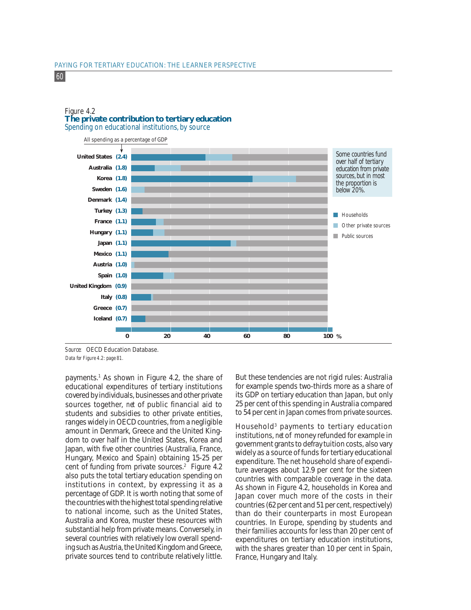## Figure 4.2 **The private contribution to tertiary education** Spending on educational institutions, by source

60



*Data for Figure 4.2: page 81. Source:* OECD Education Database.

payments.1 As shown in Figure 4.2, the share of educational expenditures of tertiary institutions covered by individuals, businesses and other private sources together, *net* of public financial aid to students and subsidies to other private entities, ranges widely in OECD countries, from a negligible amount in Denmark, Greece and the United Kingdom to over half in the United States, Korea and Japan, with five other countries (Australia, France, Hungary, Mexico and Spain) obtaining 15-25 per cent of funding from private sources.<sup>2</sup> Figure 4.2 also puts the total tertiary education spending on institutions in context, by expressing it as a percentage of GDP. It is worth noting that some of the countries with the highest total spending relative to national income, such as the United States, Australia and Korea, muster these resources with substantial help from private means. Conversely, in several countries with relatively low overall spending such as Austria, the United Kingdom and Greece, private sources tend to contribute relatively little.

But these tendencies are not rigid rules: Australia for example spends two-thirds more as a share of its GDP on tertiary education than Japan, but only 25 per cent of this spending in Australia compared to 54 per cent in Japan comes from private sources.

Household3 payments to tertiary education institutions, *net* of money refunded for example in government grants to defray tuition costs, also vary widely as a source of funds for tertiary educational expenditure. The net household share of expenditure averages about 12.9 per cent for the sixteen countries with comparable coverage in the data. As shown in Figure 4.2, households in Korea and Japan cover much more of the costs in their countries (62 per cent and 51 per cent, respectively) than do their counterparts in most European countries. In Europe, spending by students and their families accounts for less than 20 per cent of expenditures on tertiary education institutions, with the shares greater than 10 per cent in Spain, France, Hungary and Italy.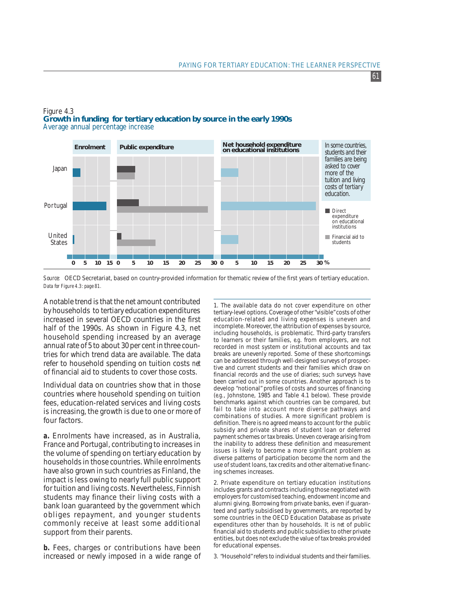

#### Figure 4.3 **Growth in funding for tertiary education by source in the early 1990s** Average annual percentage increase

*Source:* OECD Secretariat, based on country-provided information for thematic review of the first years of tertiary education. *Data for Figure 4.3: page 81.*

A notable trend is that the net amount contributed by households to tertiary education expenditures increased in several OECD countries in the first half of the 1990s. As shown in Figure 4.3, net household spending increased by an average annual rate of 5 to about 30 per cent in three countries for which trend data are available. The data refer to household spending on tuition costs *net* of financial aid to students to cover those costs.

Individual data on countries show that in those countries where household spending on tuition fees, education-related services and living costs is increasing, the growth is due to one or more of four factors.

*a.* Enrolments have increased, as in Australia, France and Portugal, contributing to increases in the volume of spending on tertiary education by households in those countries. While enrolments have also grown in such countries as Finland, the impact is less owing to nearly full public support for tuition and living costs. Nevertheless, Finnish students may finance their living costs with a bank loan guaranteed by the government which obliges repayment, and younger students commonly receive at least some additional support from their parents.

*b.* Fees, charges or contributions have been increased or newly imposed in a wide range of 1. The available data do not cover expenditure on other tertiary-level options. Coverage of other "visible" costs of other education-related and living expenses is uneven and incomplete. Moreover, the attribution of expenses by source, including households, is problematic. Third-party transfers to learners or their families, *e.g*. from employers, are not recorded in most system or institutional accounts and tax breaks are unevenly reported. Some of these shortcomings can be addressed through well-designed surveys of prospective and current students and their families which draw on financial records and the use of diaries; such surveys have been carried out in some countries. Another approach is to develop "notional" profiles of costs and sources of financing (*e.g.*, Johnstone, 1985 and Table 4.1 below). These provide benchmarks against which countries can be compared, but fail to take into account more diverse pathways and combinations of studies. A more significant problem is definition. There is no agreed means to account for the public subsidy and private shares of student loan or deferred payment schemes or tax breaks. Uneven coverage arising from the inability to address these definition and measurement issues is likely to become a more significant problem as diverse patterns of participation become the norm and the use of student loans, tax credits and other alternative financing schemes increases.

2. Private expenditure on tertiary education institutions includes grants and contracts including those negotiated with employers for customised teaching, endowment income and alumni giving. Borrowing from private banks, even if guaranteed and partly subsidised by governments, are reported by some countries in the OECD Education Database as private expenditures other than by households. It is *net* of public financial aid to students and public subsidies to other private entities, but does not exclude the value of tax breaks provided for educational expenses.

3. "Household" refers to individual students and their families.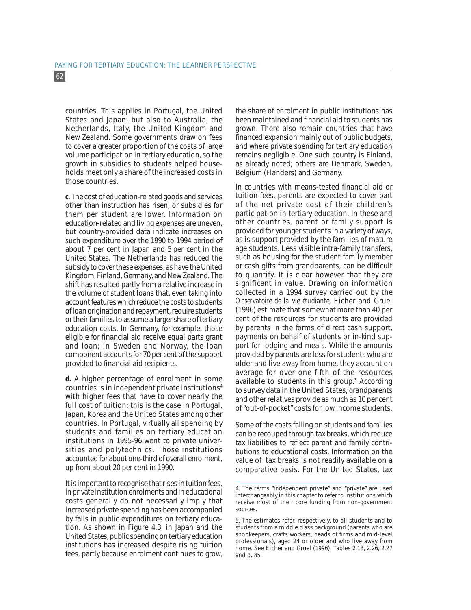countries. This applies in Portugal, the United States and Japan, but also to Australia, the Netherlands, Italy, the United Kingdom and New Zealand. Some governments draw on fees to cover a greater proportion of the costs of large volume participation in tertiary education, so the growth in subsidies to students helped households meet only a share of the increased costs in those countries.

*c.* The cost of education-related goods and services other than instruction has risen, or subsidies for them per student are lower. Information on education-related and living expenses are uneven, but country-provided data indicate increases on such expenditure over the 1990 to 1994 period of about 7 per cent in Japan and 5 per cent in the United States. The Netherlands has reduced the subsidy to cover these expenses, as have the United Kingdom, Finland, Germany, and New Zealand. The shift has resulted partly from a relative increase in the volume of student loans that, even taking into account features which reduce the costs to students of loan origination and repayment, require students or their families to assume a larger share of tertiary education costs. In Germany, for example, those eligible for financial aid receive equal parts grant and loan; in Sweden and Norway, the loan component accounts for 70 per cent of the support provided to financial aid recipients.

*d.* A higher percentage of enrolment in some countries is in independent private institutions4 with higher fees that have to cover nearly the full cost of tuition: this is the case in Portugal, Japan, Korea and the United States among other countries. In Portugal, virtually all spending by students and families on tertiary education institutions in 1995-96 went to private universities and polytechnics. Those institutions accounted for about one-third of overall enrolment, up from about 20 per cent in 1990.

It is important to recognise that rises in tuition fees, in private institution enrolments and in educational costs generally do not necessarily imply that increased private spending has been accompanied by falls in public expenditures on tertiary education. As shown in Figure 4.3, in Japan and the United States, public spending on tertiary education institutions has increased despite rising tuition fees, partly because enrolment continues to grow, the share of enrolment in public institutions has been maintained and financial aid to students has grown. There also remain countries that have financed expansion mainly out of public budgets, and where private spending for tertiary education remains negligible. One such country is Finland, as already noted; others are Denmark, Sweden, Belgium (Flanders) and Germany.

In countries with means-tested financial aid or tuition fees, parents are expected to cover part of the net private cost of their children's participation in tertiary education. In these and other countries, parent or family support is provided for younger students in a variety of ways, as is support provided by the families of mature age students. Less visible intra-family transfers, such as housing for the student family member or cash gifts from grandparents, can be difficult to quantify. It is clear however that they are significant in value. Drawing on information collected in a 1994 survey carried out by the *Observatoire de la vie étudiante*, Eicher and Gruel (1996) estimate that somewhat more than 40 per cent of the resources for students are provided by parents in the forms of direct cash support, payments on behalf of students or in-kind support for lodging and meals. While the amounts provided by parents are less for students who are older and live away from home, they account on average for over one-fifth of the resources available to students in this group.<sup>5</sup> According to survey data in the United States, grandparents and other relatives provide as much as 10 per cent of "out-of-pocket" costs for low income students.

Some of the costs falling on students and families can be recouped through tax breaks, which reduce tax liabilities to reflect parent and family contributions to educational costs. Information on the value of tax breaks is not readily available on a comparative basis. For the United States, tax

<sup>4.</sup> The terms "independent private" and "private" are used interchangeably in this chapter to refer to institutions which receive most of their core funding from non-government sources.

<sup>5.</sup> The estimates refer, respectively, to all students and to students from a middle class background (parents who are shopkeepers, crafts workers, heads of firms and mid-level professionals), aged 24 or older and who live away from home. See Eicher and Gruel (1996), Tables 2.13, 2.26, 2.27 and p. 85.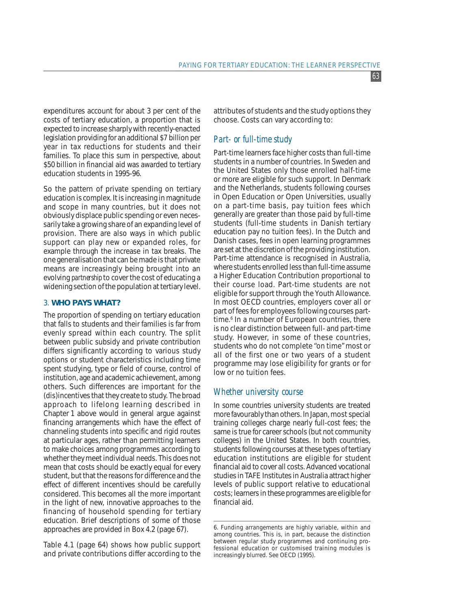expenditures account for about 3 per cent of the costs of tertiary education, a proportion that is expected to increase sharply with recently-enacted legislation providing for an additional \$7 billion per year in tax reductions for students and their families. To place this sum in perspective, about \$50 billion in financial aid was awarded to tertiary education students in 1995-96.

So the pattern of private spending on tertiary education is complex. It is increasing in magnitude and scope in many countries, but it does not obviously displace public spending or even necessarily take a growing share of an expanding level of provision. There are also ways in which public support can play new or expanded roles, for example through the increase in tax breaks. The one generalisation that can be made is that private means are increasingly being brought into an evolving *partnership* to cover the cost of educating a widening section of the population at tertiary level.

## 3. **WHO PAYS WHAT?**

The proportion of spending on tertiary education that falls to students and their families is far from evenly spread within each country. The split between public subsidy and private contribution differs significantly according to various study options or student characteristics including time spent studying, type or field of course, control of institution, age and academic achievement, among others. Such differences are important for the (dis)incentives that they create to study. The broad approach to lifelong learning described in Chapter 1 above would in general argue against financing arrangements which have the effect of channeling students into specific and rigid routes at particular ages, rather than permitting learners to make choices among programmes according to whether they meet individual needs. This does not mean that costs should be exactly equal for every student, but that the reasons for difference and the effect of different incentives should be carefully considered. This becomes all the more important in the light of new, innovative approaches to the financing of household spending for tertiary education. Brief descriptions of some of those approaches are provided in Box 4.2 (page 67).

Table 4.1 (page 64) shows how public support and private contributions differ according to the

attributes of students and the study options they choose. Costs can vary according to:

## *Part- or full-time study*

Part-time learners face higher costs than full-time students in a number of countries. In Sweden and the United States only those enrolled half-time or more are eligible for such support. In Denmark and the Netherlands, students following courses in Open Education or Open Universities, usually on a part-time basis, pay tuition fees which generally are greater than those paid by full-time students (full-time students in Danish tertiary education pay no tuition fees). In the Dutch and Danish cases, fees in open learning programmes are set at the discretion of the providing institution. Part-time attendance is recognised in Australia, where students enrolled less than full-time assume a Higher Education Contribution proportional to their course load. Part-time students are not eligible for support through the Youth Allowance. In most OECD countries, employers cover all or part of fees for employees following courses parttime.<sup>6</sup> In a number of European countries, there is no clear distinction between full- and part-time study. However, in some of these countries, students who do not complete "on time" most or all of the first one or two years of a student programme may lose eligibility for grants or for low or no tuition fees.

### *Whether university course*

In some countries university students are treated more favourably than others. In Japan, most special training colleges charge nearly full-cost fees; the same is true for career schools (but not community colleges) in the United States. In both countries, students following courses at these types of tertiary education institutions are eligible for student financial aid to cover all costs. Advanced vocational studies in TAFE Institutes in Australia attract higher levels of public support relative to educational costs; learners in these programmes are eligible for financial aid.

<sup>6.</sup> Funding arrangements are highly variable, within and among countries. This is, in part, because the distinction between regular study programmes and continuing professional education or customised training modules is increasingly blurred. See OECD (1995).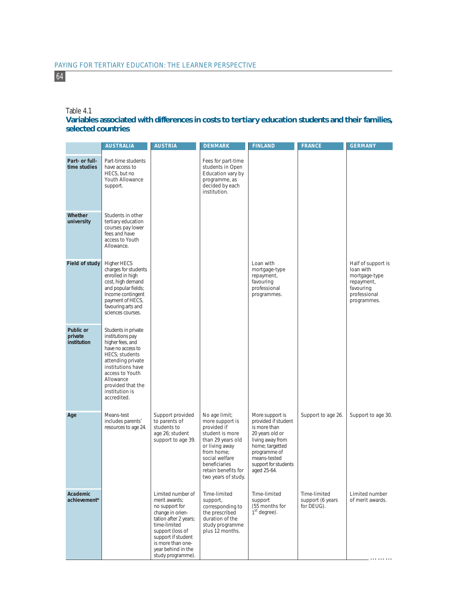## Table 4.1

## **Variables associated with differences in costs to tertiary education students and their families, selected countries**

|                                            | <b>AUSTRALIA</b>                                                                                                                                                                                                                   | <b>AUSTRIA</b>                                                                                                                                                                                                              | <b>DENMARK</b>                                                                                                                                                                                           | <b>FINLAND</b>                                                                                                                                                                          | <b>FRANCE</b>                                  | <b>GERMANY</b>                                                                                             |
|--------------------------------------------|------------------------------------------------------------------------------------------------------------------------------------------------------------------------------------------------------------------------------------|-----------------------------------------------------------------------------------------------------------------------------------------------------------------------------------------------------------------------------|----------------------------------------------------------------------------------------------------------------------------------------------------------------------------------------------------------|-----------------------------------------------------------------------------------------------------------------------------------------------------------------------------------------|------------------------------------------------|------------------------------------------------------------------------------------------------------------|
| Part- or full-<br>time studies             | Part-time students<br>have access to<br>HECS, but no<br>Youth Allowance<br>support.                                                                                                                                                |                                                                                                                                                                                                                             | Fees for part-time<br>students in Open<br>Education vary by<br>programme, as<br>decided by each<br>institution.                                                                                          |                                                                                                                                                                                         |                                                |                                                                                                            |
| <b>Whether</b><br>university               | Students in other<br>tertiary education<br>courses pay lower<br>fees and have<br>access to Youth<br>Allowance.                                                                                                                     |                                                                                                                                                                                                                             |                                                                                                                                                                                                          |                                                                                                                                                                                         |                                                |                                                                                                            |
| <b>Field of study</b>                      | Higher HECS<br>charges for students<br>enrolled in high<br>cost, high demand<br>and popular fields;<br>Income contingent<br>payment of HECS,<br>favouring arts and<br>sciences courses.                                            |                                                                                                                                                                                                                             |                                                                                                                                                                                                          | Loan with<br>mortgage-type<br>repayment,<br>favouring<br>professional<br>programmes.                                                                                                    |                                                | Half of support is<br>loan with<br>mortgage-type<br>repayment,<br>favouring<br>professional<br>programmes. |
| <b>Public or</b><br>private<br>institution | Students in private<br>institutions pay<br>higher fees, and<br>have no access to<br>HECS; students<br>attending private<br>institutions have<br>access to Youth<br>Allowance<br>provided that the<br>institution is<br>accredited. |                                                                                                                                                                                                                             |                                                                                                                                                                                                          |                                                                                                                                                                                         |                                                |                                                                                                            |
| Age                                        | Means-test<br>includes parents'<br>resources to age 24.                                                                                                                                                                            | Support provided<br>to parents of<br>students to<br>age 26; student<br>support to age 39.                                                                                                                                   | No age limit;<br>more support is<br>provided if<br>student is more<br>than 29 years old<br>or living away<br>from home:<br>social welfare<br>beneficiaries<br>retain benefits for<br>two years of study. | More support is<br>provided if student<br>is more than<br>20 years old or<br>living away from<br>home; targetted<br>programme of<br>means-tested<br>support for students<br>aged 25-64. | Support to age 26.                             | Support to age 30.                                                                                         |
| <b>Academic</b><br>achievement*            |                                                                                                                                                                                                                                    | Limited number of<br>merit awards;<br>no support for<br>change in orien-<br>tation after 2 years;<br>time-limited<br>support (loss of<br>support if student<br>is more than one-<br>year behind in the<br>study programme). | Time-limited<br>support.<br>corresponding to<br>the prescribed<br>duration of the<br>study programme<br>plus 12 months.                                                                                  | Time-limited<br>support<br>(55 months for<br>$1st$ degree).                                                                                                                             | Time-limited<br>support (6 years<br>for DEUG). | Limited number<br>of merit awards.                                                                         |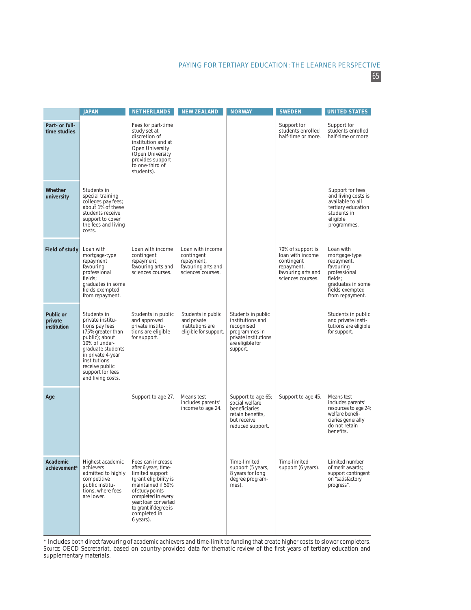## PAYING FOR TERTIARY EDUCATION: THE LEARNER PERSPECTIVE

65

|                                            | <b>JAPAN</b>                                                                                                                                                                                                                   | <b>NETHERLANDS</b>                                                                                                                                                                                                                | <b>NEW ZEALAND</b>                                                                      | <b>NORWAY</b>                                                                                                                 | <b>SWEDEN</b>                                                                                                | <b>UNITED STATES</b>                                                                                                                        |
|--------------------------------------------|--------------------------------------------------------------------------------------------------------------------------------------------------------------------------------------------------------------------------------|-----------------------------------------------------------------------------------------------------------------------------------------------------------------------------------------------------------------------------------|-----------------------------------------------------------------------------------------|-------------------------------------------------------------------------------------------------------------------------------|--------------------------------------------------------------------------------------------------------------|---------------------------------------------------------------------------------------------------------------------------------------------|
| Part- or full-<br>time studies             |                                                                                                                                                                                                                                | Fees for part-time<br>study set at<br>discretion of<br>institution and at<br>Open University<br>(Open University<br>provides support<br>to one-third of<br>students).                                                             |                                                                                         |                                                                                                                               | Support for<br>students enrolled<br>half-time or more.                                                       | Support for<br>students enrolled<br>half-time or more.                                                                                      |
| <b>Whether</b><br>university               | Students in<br>special training<br>colleges pay fees;<br>about 1% of these<br>students receive<br>support to cover<br>the fees and living<br>costs.                                                                            |                                                                                                                                                                                                                                   |                                                                                         |                                                                                                                               |                                                                                                              | Support for fees<br>and living costs is<br>available to all<br>tertiary education<br>students in<br>eligible<br>programmes.                 |
| <b>Field of study</b>                      | Loan with<br>mortgage-type<br>repayment<br>favouring<br>professional<br>fields:<br>graduates in some<br>fields exempted<br>from repayment.                                                                                     | Loan with income<br>contingent<br>repayment,<br>favouring arts and<br>sciences courses.                                                                                                                                           | Loan with income<br>contingent<br>repayment,<br>favouring arts and<br>sciences courses. |                                                                                                                               | 70% of support is<br>loan with income<br>contingent<br>repayment,<br>favouring arts and<br>sciences courses. | Loan with<br>mortgage-type<br>repayment,<br>favouring<br>professional<br>fields:<br>graduates in some<br>fields exempted<br>from repayment. |
| <b>Public or</b><br>private<br>institution | Students in<br>private institu-<br>tions pay fees<br>(75% greater than<br>public); about<br>10% of under-<br>graduate students<br>in private 4-year<br>institutions<br>receive public<br>support for fees<br>and living costs. | Students in public<br>and approved<br>private institu-<br>tions are eligible<br>for support.                                                                                                                                      | Students in public<br>and private<br>institutions are<br>eligible for support.          | Students in public<br>institutions and<br>recognised<br>programmes in<br>private institutions<br>are eligible for<br>support. |                                                                                                              | Students in public<br>and private insti-<br>tutions are eligible<br>for support.                                                            |
| Age                                        |                                                                                                                                                                                                                                | Support to age 27.                                                                                                                                                                                                                | Means test<br>includes parents'<br>income to age 24.                                    | Support to age 65;<br>social welfare<br>beneficiaries<br>retain benefits.<br>but receive<br>reduced support.                  | Support to age 45.                                                                                           | Means test<br>includes parents'<br>resources to age 24;<br>welfare benefi-<br>ciaries generally<br>do not retain<br>benefits.               |
| <b>Academic</b><br>achievement*            | Highest academic<br>achievers<br>admitted to highly<br>competitive<br>public institu-<br>tions, where fees<br>are lower.                                                                                                       | Fees can increase<br>after 6 years; time-<br>limited support<br>(grant eligibility is<br>maintained if 50%<br>of study points<br>completed in every<br>year; loan converted<br>to grant if degree is<br>completed in<br>6 years). |                                                                                         | Time-limited<br>support (5 years,<br>8 years for long<br>degree program-<br>mes).                                             | Time-limited<br>support (6 years).                                                                           | Limited number<br>of merit awards;<br>support contingent<br>on "satisfactory<br>progress".                                                  |

\* Includes both direct favouring of academic achievers and time-limit to funding that create higher costs to slower completers. *Source*: OECD Secretariat, based on country-provided data for thematic review of the first years of tertiary education and supplementary materials.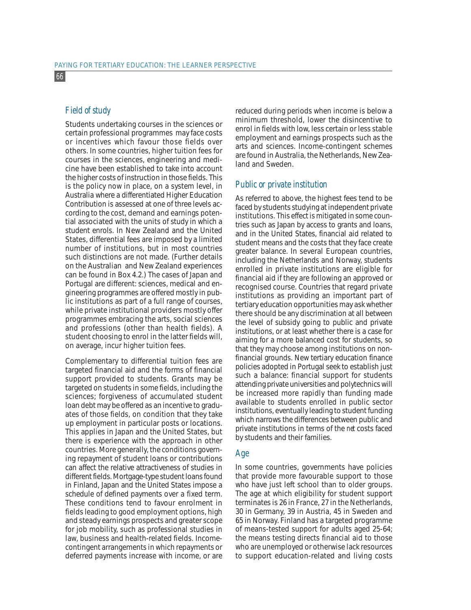## *Field of study*

66

Students undertaking courses in the sciences or certain professional programmes may face costs or incentives which favour those fields over others. In some countries, higher tuition fees for courses in the sciences, engineering and medicine have been established to take into account the higher costs of instruction in those fields. This is the policy now in place, on a system level, in Australia where a differentiated Higher Education Contribution is assessed at one of three levels according to the cost, demand and earnings potential associated with the units of study in which a student enrols. In New Zealand and the United States, differential fees are imposed by a limited number of institutions, but in most countries such distinctions are not made. (Further details on the Australian and New Zealand experiences can be found in Box 4.2.) The cases of Japan and Portugal are different: sciences, medical and engineering programmes are offered mostly in public institutions as part of a full range of courses, while private institutional providers mostly offer programmes embracing the arts, social sciences and professions (other than health fields). A student choosing to enrol in the latter fields will, on average, incur higher tuition fees.

Complementary to differential tuition fees are targeted financial aid and the forms of financial support provided to students. Grants may be targeted on students in some fields, including the sciences; forgiveness of accumulated student loan debt may be offered as an incentive to graduates of those fields, on condition that they take up employment in particular posts or locations. This applies in Japan and the United States, but there is experience with the approach in other countries. More generally, the conditions governing repayment of student loans or contributions can affect the relative attractiveness of studies in different fields. Mortgage-type student loans found in Finland, Japan and the United States impose a schedule of defined payments over a fixed term. These conditions tend to favour enrolment in fields leading to good employment options, high and steady earnings prospects and greater scope for job mobility, such as professional studies in law, business and health-related fields. Incomecontingent arrangements in which repayments or deferred payments increase with income, or are

reduced during periods when income is below a minimum threshold, lower the disincentive to enrol in fields with low, less certain or less stable employment and earnings prospects such as the arts and sciences. Income-contingent schemes are found in Australia, the Netherlands, New Zealand and Sweden.

## *Public or private institution*

As referred to above, the highest fees tend to be faced by students studying at independent private institutions. This effect is mitigated in some countries such as Japan by access to grants and loans, and in the United States, financial aid related to student means and the costs that they face create greater balance. In several European countries, including the Netherlands and Norway, students enrolled in private institutions are eligible for financial aid if they are following an approved or recognised course. Countries that regard private institutions as providing an important part of tertiary education opportunities may ask whether there should be any discrimination at all between the level of subsidy going to public and private institutions, or at least whether there is a case for aiming for a more balanced cost for students, so that they may choose among institutions on nonfinancial grounds. New tertiary education finance policies adopted in Portugal seek to establish just such a balance: financial support for students attending private universities and polytechnics will be increased more rapidly than funding made available to students enrolled in public sector institutions, eventually leading to student funding which narrows the differences between public and private institutions in terms of the *net* costs faced by students and their families.

## *Age*

In some countries, governments have policies that provide more favourable support to those who have just left school than to older groups. The age at which eligibility for student support terminates is 26 in France, 27 in the Netherlands, 30 in Germany, 39 in Austria, 45 in Sweden and 65 in Norway. Finland has a targeted programme of means-tested support for adults aged 25-64; the means testing directs financial aid to those who are unemployed or otherwise lack resources to support education-related and living costs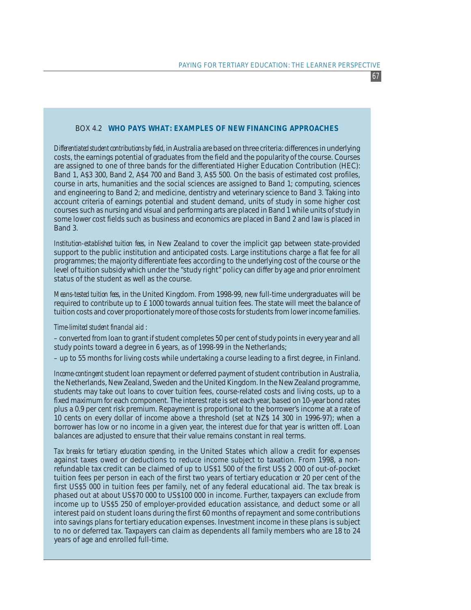## BOX 4.2 **WHO PAYS WHAT: EXAMPLES OF NEW FINANCING APPROACHES**

*Differentiated student contributions by field*, in Australia are based on three criteria: differences in underlying costs, the earnings potential of graduates from the field and the popularity of the course. Courses are assigned to one of three bands for the differentiated Higher Education Contribution (HEC): Band 1, A\$3 300, Band 2, A\$4 700 and Band 3, A\$5 500. On the basis of estimated cost profiles, course in arts, humanities and the social sciences are assigned to Band 1; computing, sciences and engineering to Band 2; and medicine, dentistry and veterinary science to Band 3. Taking into account criteria of earnings potential and student demand, units of study in some higher cost courses such as nursing and visual and performing arts are placed in Band 1 while units of study in some lower cost fields such as business and economics are placed in Band 2 and law is placed in Band 3.

*Institution-established tuition fees*, in New Zealand to cover the implicit gap between state-provided support to the public institution and anticipated costs. Large institutions charge a flat fee for all programmes; the majority differentiate fees according to the underlying cost of the course or the level of tuition subsidy which under the "study right" policy can differ by age and prior enrolment status of the student as well as the course.

*Means-tested tuition fees*, in the United Kingdom. From 1998-99, new full-time undergraduates will be required to contribute up to £ 1000 towards annual tuition fees. The state will meet the balance of tuition costs and cover proportionately more of those costs for students from lower income families.

#### *Time-limited student financial aid* :

– converted from loan to grant if student completes 50 per cent of study points in every year and all study points toward a degree in 6 years, as of 1998-99 in the Netherlands;

– up to 55 months for living costs while undertaking a course leading to a first degree, in Finland.

*Income-contingent* student loan repayment or deferred payment of student contribution in Australia, the Netherlands, New Zealand, Sweden and the United Kingdom. In the New Zealand programme, students may take out loans to cover tuition fees, course-related costs and living costs, up to a fixed maximum for each component. The interest rate is set each year, based on 10-year bond rates plus a 0.9 per cent risk premium. Repayment is proportional to the borrower's income at a rate of 10 cents on every dollar of income above a threshold (set at NZ\$ 14 300 in 1996-97); when a borrower has low or no income in a given year, the interest due for that year is written off. Loan balances are adjusted to ensure that their value remains constant in real terms.

*Tax breaks for tertiary education spending*, in the United States which allow a credit for expenses against taxes owed or deductions to reduce income subject to taxation. From 1998, a nonrefundable tax credit can be claimed of up to US\$1 500 of the first US\$ 2 000 of out-of-pocket tuition fees per person in each of the first two years of tertiary education *or* 20 per cent of the first US\$5 000 in tuition fees per family, net of any federal educational aid. The tax break is phased out at about US\$70 000 to US\$100 000 in income. Further, taxpayers can exclude from income up to US\$5 250 of employer-provided education assistance, and deduct some or all interest paid on student loans during the first 60 months of repayment and some contributions into savings plans for tertiary education expenses. Investment income in these plans is subject to no or deferred tax. Taxpayers can claim as dependents all family members who are 18 to 24 years of age and enrolled full-time.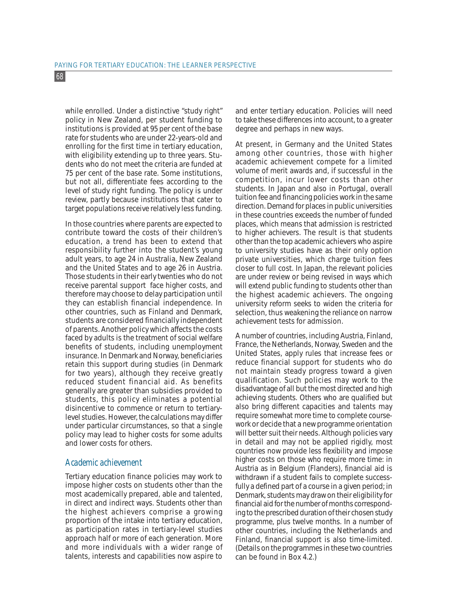while enrolled. Under a distinctive "study right" policy in New Zealand, per student funding to institutions is provided at 95 per cent of the base rate for students who are under 22-years-old and enrolling for the first time in tertiary education, with eligibility extending up to three years. Students who do not meet the criteria are funded at 75 per cent of the base rate. Some institutions, but not all, differentiate fees according to the level of study right funding. The policy is under review, partly because institutions that cater to target populations receive relatively less funding.

In those countries where parents are expected to contribute toward the costs of their children's education, a trend has been to extend that responsibility further into the student's young adult years, to age 24 in Australia, New Zealand and the United States and to age 26 in Austria. Those students in their early twenties who do not receive parental support face higher costs, and therefore may choose to delay participation until they can establish financial independence. In other countries, such as Finland and Denmark, students are considered financially independent of parents. Another policy which affects the costs faced by adults is the treatment of social welfare benefits of students, including unemployment insurance. In Denmark and Norway, beneficiaries retain this support during studies (in Denmark for two years), although they receive greatly reduced student financial aid. As benefits generally are greater than subsidies provided to students, this policy eliminates a potential disincentive to commence or return to tertiarylevel studies. However, the calculations may differ under particular circumstances, so that a single policy may lead to higher costs for some adults and lower costs for others.

## *Academic achievement*

Tertiary education finance policies may work to impose higher costs on students other than the most academically prepared, able and talented, in direct and indirect ways. Students other than the highest achievers comprise a growing proportion of the intake into tertiary education, as participation rates in tertiary-level studies approach half or more of each generation. More and more individuals with a wider range of talents, interests and capabilities now aspire to and enter tertiary education. Policies will need to take these differences into account, to a greater degree and perhaps in new ways.

At present, in Germany and the United States among other countries, those with higher academic achievement compete for a limited volume of merit awards and, if successful in the competition, incur lower costs than other students. In Japan and also in Portugal, overall tuition fee and financing policies work in the same direction. Demand for places in public universities in these countries exceeds the number of funded places, which means that admission is restricted to higher achievers. The result is that students other than the top academic achievers who aspire to university studies have as their only option private universities, which charge tuition fees closer to full cost. In Japan, the relevant policies are under review or being revised in ways which will extend public funding to students other than the highest academic achievers. The ongoing university reform seeks to widen the criteria for selection, thus weakening the reliance on narrow achievement tests for admission.

A number of countries, including Austria, Finland, France, the Netherlands, Norway, Sweden and the United States, apply rules that increase fees or reduce financial support for students who do not maintain steady progress toward a given qualification. Such policies may work to the disadvantage of all but the most directed and high achieving students. Others who are qualified but also bring different capacities and talents may require somewhat more time to complete coursework or decide that a new programme orientation will better suit their needs. Although policies vary in detail and may not be applied rigidly, most countries now provide less flexibility and impose higher costs on those who require more time: in Austria as in Belgium (Flanders), financial aid is withdrawn if a student fails to complete successfully a defined part of a course in a given period; in Denmark, students may draw on their eligibility for financial aid for the number of months corresponding to the prescribed duration of their chosen study programme, plus twelve months. In a number of other countries, including the Netherlands and Finland, financial support is also time-limited. (Details on the programmes in these two countries can be found in Box 4.2.)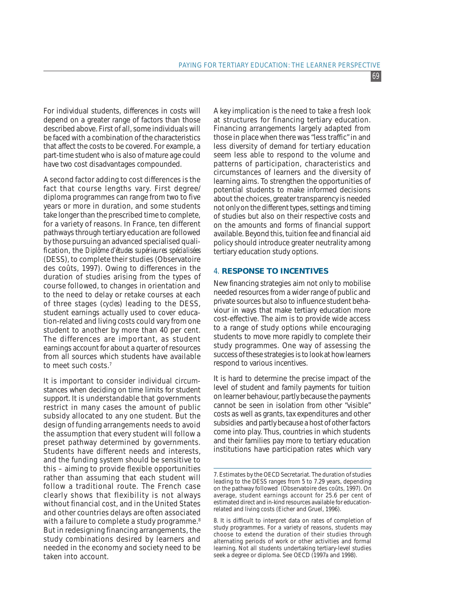For individual students, differences in costs will depend on a greater range of factors than those described above. First of all, some individuals will be faced with a combination of the characteristics that affect the costs to be covered. For example, a part-time student who is also of mature age could have two cost disadvantages compounded.

A second factor adding to cost differences is the fact that course lengths vary. First degree/ diploma programmes can range from two to five years or more in duration, and some students take longer than the prescribed time to complete, for a variety of reasons. In France, ten different pathways through tertiary education are followed by those pursuing an advanced specialised qualification, the *Diplôme d'études supérieures spécialisées* (DESS), to complete their studies (Observatoire des coûts, 1997). Owing to differences in the duration of studies arising from the types of course followed, to changes in orientation and to the need to delay or retake courses at each of three stages (*cycles*) leading to the DESS, student earnings actually used to cover education-related and living costs could vary from one student to another by more than 40 per cent. The differences are important, as student earnings account for about a quarter of resources from all sources which students have available to meet such costs.7

It is important to consider individual circumstances when deciding on time limits for student support. It is understandable that governments restrict in many cases the amount of public subsidy allocated to any one student. But the design of funding arrangements needs to avoid the assumption that every student will follow a preset pathway determined by governments. Students have different needs and interests, and the funding system should be sensitive to this – aiming to provide flexible opportunities rather than assuming that each student will follow a traditional route. The French case clearly shows that flexibility is not always without financial cost, and in the United States and other countries delays are often associated with a failure to complete a study programme.<sup>8</sup> But in redesigning financing arrangements, the study combinations desired by learners and needed in the economy and society need to be taken into account.

A key implication is the need to take a fresh look at structures for financing tertiary education. Financing arrangements largely adapted from those in place when there was "less traffic" in and less diversity of demand for tertiary education seem less able to respond to the volume and patterns of participation, characteristics and circumstances of learners and the diversity of learning aims. To strengthen the opportunities of potential students to make informed decisions about the choices, greater transparency is needed not only on the different types, settings and timing of studies but also on their respective costs and on the amounts and forms of financial support available. Beyond this, tuition fee and financial aid policy should introduce greater neutrality among tertiary education study options.

### 4. **RESPONSE TO INCENTIVES**

New financing strategies aim not only to mobilise needed resources from a wider range of public and private sources but also to influence student behaviour in ways that make tertiary education more cost-effective. The aim is to provide wide access to a range of study options while encouraging students to move more rapidly to complete their study programmes. One way of assessing the success of these strategies is to look at how learners respond to various incentives.

It is hard to determine the precise impact of the level of student and family payments for tuition on learner behaviour, partly because the payments cannot be seen in isolation from other "visible" costs as well as grants, tax expenditures and other subsidies and partly because a host of other factors come into play. Thus, countries in which students and their families pay more to tertiary education institutions have participation rates which vary

<sup>7.</sup> Estimates by the OECD Secretariat. The duration of studies leading to the DESS ranges from 5 to 7.29 years, depending on the pathway followed (Observatoire des coûts, 1997). On average, student earnings account for 25.6 per cent of estimated direct and in-kind resources available for educationrelated and living costs (Eicher and Gruel, 1996).

<sup>8.</sup> It is difficult to interpret data on rates of completion of study programmes. For a variety of reasons, students may choose to extend the duration of their studies through alternating periods of work or other activities and formal learning. Not all students undertaking tertiary-level studies seek a degree or diploma. See OECD (1997*a* and 1998).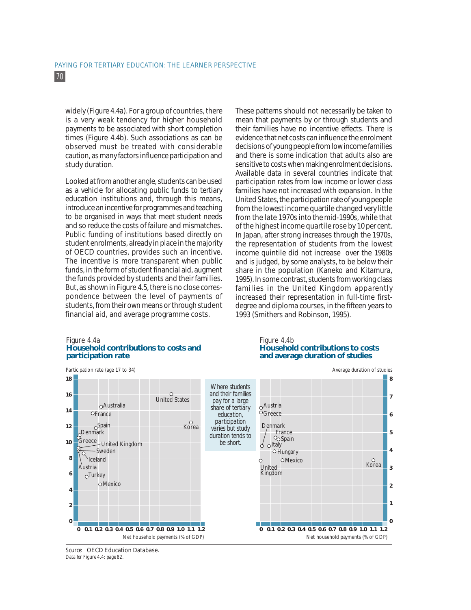widely (Figure 4.4a). For a group of countries, there is a very weak tendency for higher household payments to be associated with short completion times (Figure 4.4b). Such associations as can be observed must be treated with considerable caution, as many factors influence participation and study duration.

Looked at from another angle, students can be used as a vehicle for allocating public funds to tertiary education institutions and, through this means, introduce an incentive for programmes and teaching to be organised in ways that meet student needs and so reduce the costs of failure and mismatches. Public funding of institutions based directly on student enrolments, already in place in the majority of OECD countries, provides such an incentive. The incentive is more transparent when public funds, in the form of student financial aid, augment the funds provided by students and their families. But, as shown in Figure 4.5, there is no close correspondence between the level of payments of students, from their own means or through student financial aid, and average programme costs.

These patterns should not necessarily be taken to mean that payments by or through students and their families have no incentive effects. There is evidence that net costs can influence the enrolment decisions of young people from low income families and there is some indication that adults also are sensitive to costs when making enrolment decisions. Available data in several countries indicate that participation rates from low income or lower class families have not increased with expansion. In the United States, the participation rate of young people from the lowest income quartile changed very little from the late 1970s into the mid-1990s, while that of the highest income quartile rose by 10 per cent. In Japan, after strong increases through the 1970s, the representation of students from the lowest income quintile did not increase over the 1980s and is judged, by some analysts, to be below their share in the population (Kaneko and Kitamura, 1995). In some contrast, students from working class families in the United Kingdom apparently increased their representation in full-time firstdegree and diploma courses, in the fifteen years to 1993 (Smithers and Robinson, 1995).

#### Figure 4.4a **Household contributions to costs and participation rate**

#### Figure 4.4b **Household contributions to costs and average duration of studies**



*Data for Figure 4.4: page 82. Source:* OECD Education Database.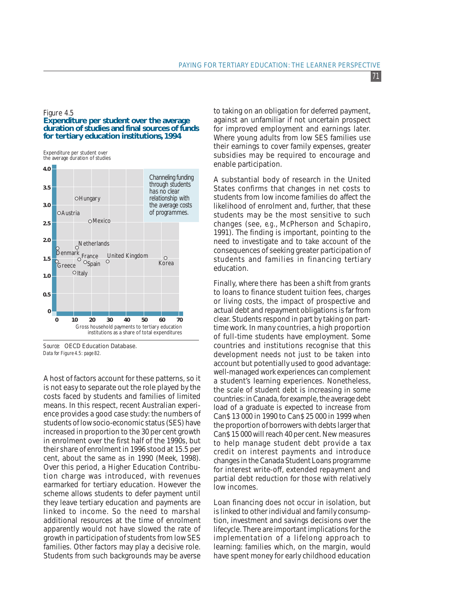## Figure 4.5

## **Expenditure per student over the average duration of studies and final sources of funds for tertiary education institutions, 1994**

Expenditure per student over the average duration of studies



*Source:* OECD Education Database. *Data for Figure 4.5: page 82.*

A host of factors account for these patterns, so it is not easy to separate out the role played by the costs faced by students and families of limited means. In this respect, recent Australian experience provides a good case study: the numbers of students of low socio-economic status (SES) have increased in proportion to the 30 per cent growth in enrolment over the first half of the 1990s, but their share of enrolment in 1996 stood at 15.5 per cent, about the same as in 1990 (Meek, 1998). Over this period, a Higher Education Contribution charge was introduced, with revenues earmarked for tertiary education. However the scheme allows students to defer payment until they leave tertiary education and payments are linked to income. So the need to marshal additional resources at the time of enrolment apparently would not have slowed the rate of growth in participation of students from low SES families. Other factors may play a decisive role. Students from such backgrounds may be averse

to taking on an obligation for deferred payment, against an unfamiliar if not uncertain prospect for improved employment and earnings later. Where young adults from low SES families use their earnings to cover family expenses, greater subsidies may be required to encourage and enable participation.

A substantial body of research in the United States confirms that changes in net costs to students from low income families do affect the likelihood of enrolment and, further, that these students may be the most sensitive to such changes (see, *e.g*., McPherson and Schapiro, 1991). The finding is important, pointing to the need to investigate and to take account of the consequences of seeking greater participation of students and families in financing tertiary education.

Finally, where there has been a shift from grants to loans to finance student tuition fees, charges or living costs, the impact of prospective and actual debt and repayment obligations is far from clear. Students respond in part by taking on parttime work. In many countries, a high proportion of full-time students have employment. Some countries and institutions recognise that this development needs not just to be taken into account but potentially used to good advantage: well-managed work experiences can complement a student's learning experiences. Nonetheless, the scale of student debt is increasing in some countries: in Canada, for example, the average debt load of a graduate is expected to increase from Can\$ 13 000 in 1990 to Can\$ 25 000 in 1999 when the proportion of borrowers with debts larger that Can\$ 15 000 will reach 40 per cent. New measures to help manage student debt provide a tax credit on interest payments and introduce changes in the Canada Student Loans programme for interest write-off, extended repayment and partial debt reduction for those with relatively low incomes.

Loan financing does not occur in isolation, but is linked to other individual and family consumption, investment and savings decisions over the lifecycle. There are important implications for the implementation of a lifelong approach to learning: families which, on the margin, would have spent money for early childhood education